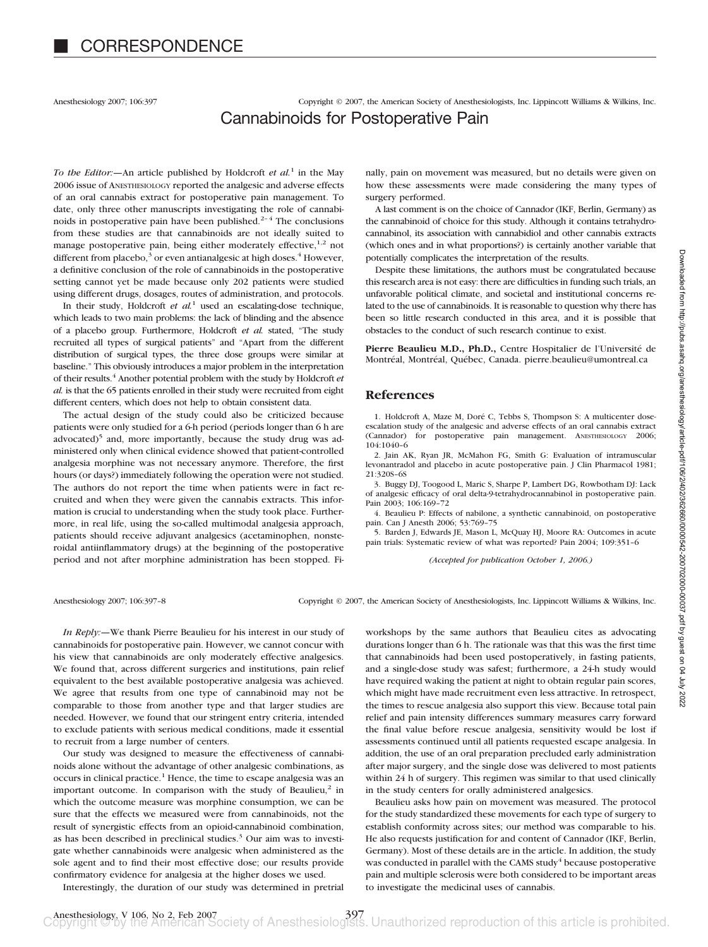Anesthesiology 2007; 106:397 Copyright © 2007, the American Society of Anesthesiologists, Inc. Lippincott Williams & Wilkins, Inc.

# Cannabinoids for Postoperative Pain

*To the Editor:—*An article published by Holdcroft *et al.*<sup>1</sup> in the May 2006 issue of ANESTHESIOLOGY reported the analgesic and adverse effects of an oral cannabis extract for postoperative pain management. To date, only three other manuscripts investigating the role of cannabinoids in postoperative pain have been published.<sup> $2-4$ </sup> The conclusions from these studies are that cannabinoids are not ideally suited to manage postoperative pain, being either moderately effective, $1,2$  not different from placebo, $3$  or even antianalgesic at high doses. $4$  However, a definitive conclusion of the role of cannabinoids in the postoperative setting cannot yet be made because only 202 patients were studied using different drugs, dosages, routes of administration, and protocols.

In their study, Holdcroft *et al.*<sup>1</sup> used an escalating-dose technique, which leads to two main problems: the lack of blinding and the absence of a placebo group. Furthermore, Holdcroft *et al.* stated, "The study recruited all types of surgical patients" and "Apart from the different distribution of surgical types, the three dose groups were similar at baseline." This obviously introduces a major problem in the interpretation of their results.4 Another potential problem with the study by Holdcroft *et al.* is that the 65 patients enrolled in their study were recruited from eight different centers, which does not help to obtain consistent data.

The actual design of the study could also be criticized because patients were only studied for a 6-h period (periods longer than 6 h are advocated)<sup>5</sup> and, more importantly, because the study drug was administered only when clinical evidence showed that patient-controlled analgesia morphine was not necessary anymore. Therefore, the first hours (or days?) immediately following the operation were not studied. The authors do not report the time when patients were in fact recruited and when they were given the cannabis extracts. This information is crucial to understanding when the study took place. Furthermore, in real life, using the so-called multimodal analgesia approach, patients should receive adjuvant analgesics (acetaminophen, nonsteroidal antiinflammatory drugs) at the beginning of the postoperative period and not after morphine administration has been stopped. Fi-

nally, pain on movement was measured, but no details were given on how these assessments were made considering the many types of surgery performed.

A last comment is on the choice of Cannador (IKF, Berlin, Germany) as the cannabinoid of choice for this study. Although it contains tetrahydrocannabinol, its association with cannabidiol and other cannabis extracts (which ones and in what proportions?) is certainly another variable that potentially complicates the interpretation of the results.

Despite these limitations, the authors must be congratulated because this research area is not easy: there are difficulties in funding such trials, an unfavorable political climate, and societal and institutional concerns related to the use of cannabinoids. It is reasonable to question why there has been so little research conducted in this area, and it is possible that obstacles to the conduct of such research continue to exist.

Pierre Beaulieu M.D., Ph.D., Centre Hospitalier de l'Université de Montréal, Montréal, Québec, Canada. pierre.beaulieu@umontreal.ca

## **References**

1. Holdcroft A, Maze M, Doré C, Tebbs S, Thompson S: A multicenter doseescalation study of the analgesic and adverse effects of an oral cannabis extract<br>(Cannador) for postoperative pain management. ANESTHESIOLOGY 2006: for postoperative pain management. ANESTHESIOLOGY 2006; 104:1040–6

2. Jain AK, Ryan JR, McMahon FG, Smith G: Evaluation of intramuscular levonantradol and placebo in acute postoperative pain. J Clin Pharmacol 1981; 21:320S–6S

3. Buggy DJ, Toogood L, Maric S, Sharpe P, Lambert DG, Rowbotham DJ: Lack of analgesic efficacy of oral delta-9-tetrahydrocannabinol in postoperative pain. Pain 2003; 106:169–72

4. Beaulieu P: Effects of nabilone, a synthetic cannabinoid, on postoperative pain. Can J Anesth 2006; 53:769–75

5. Barden J, Edwards JE, Mason L, McQuay HJ, Moore RA: Outcomes in acute pain trials: Systematic review of what was reported? Pain 2004; 109:351–6

*(Accepted for publication October 1, 2006.)*

Anesthesiology 2007; 106:397–8 Copyright © 2007, the American Society of Anesthesiologists, Inc. Lippincott Williams & Wilkins, Inc.

*In Reply:—*We thank Pierre Beaulieu for his interest in our study of cannabinoids for postoperative pain. However, we cannot concur with his view that cannabinoids are only moderately effective analgesics. We found that, across different surgeries and institutions, pain relief equivalent to the best available postoperative analgesia was achieved. We agree that results from one type of cannabinoid may not be comparable to those from another type and that larger studies are needed. However, we found that our stringent entry criteria, intended to exclude patients with serious medical conditions, made it essential to recruit from a large number of centers.

Our study was designed to measure the effectiveness of cannabinoids alone without the advantage of other analgesic combinations, as occurs in clinical practice.<sup>1</sup> Hence, the time to escape analgesia was an important outcome. In comparison with the study of Beaulieu, $2$  in which the outcome measure was morphine consumption, we can be sure that the effects we measured were from cannabinoids, not the result of synergistic effects from an opioid-cannabinoid combination, as has been described in preclinical studies.<sup>3</sup> Our aim was to investigate whether cannabinoids were analgesic when administered as the sole agent and to find their most effective dose; our results provide confirmatory evidence for analgesia at the higher doses we used.

Interestingly, the duration of our study was determined in pretrial

workshops by the same authors that Beaulieu cites as advocating durations longer than 6 h. The rationale was that this was the first time that cannabinoids had been used postoperatively, in fasting patients, and a single-dose study was safest; furthermore, a 24-h study would have required waking the patient at night to obtain regular pain scores, which might have made recruitment even less attractive. In retrospect, the times to rescue analgesia also support this view. Because total pain relief and pain intensity differences summary measures carry forward the final value before rescue analgesia, sensitivity would be lost if assessments continued until all patients requested escape analgesia. In addition, the use of an oral preparation precluded early administration after major surgery, and the single dose was delivered to most patients within 24 h of surgery. This regimen was similar to that used clinically in the study centers for orally administered analgesics.

Beaulieu asks how pain on movement was measured. The protocol for the study standardized these movements for each type of surgery to establish conformity across sites; our method was comparable to his. He also requests justification for and content of Cannador (IKF, Berlin, Germany). Most of these details are in the article. In addition, the study was conducted in parallel with the CAMS study<sup>4</sup> because postoperative pain and multiple sclerosis were both considered to be important areas to investigate the medicinal uses of cannabis.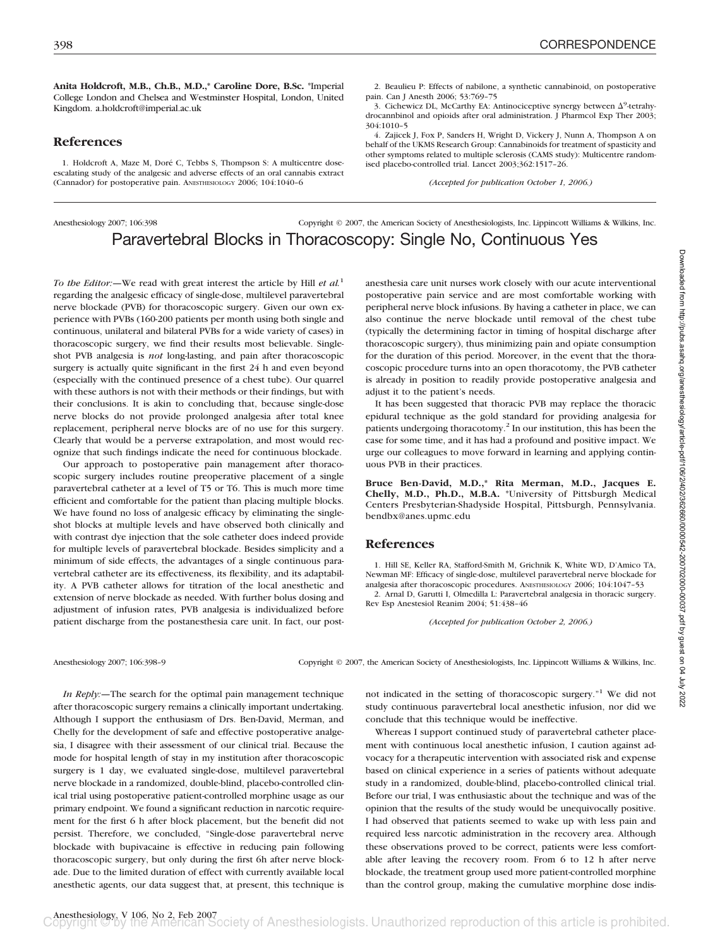**Anita Holdcroft, M.B., Ch.B., M.D.,\* Caroline Dore, B.Sc.** \*Imperial College London and Chelsea and Westminster Hospital, London, United Kingdom. a.holdcroft@imperial.ac.uk

#### **References**

1. Holdcroft A, Maze M, Doré C, Tebbs S, Thompson S: A multicentre doseescalating study of the analgesic and adverse effects of an oral cannabis extract (Cannador) for postoperative pain. ANESTHESIOLOGY 2006; 104:1040–6

2. Beaulieu P: Effects of nabilone, a synthetic cannabinoid, on postoperative pain. Can J Anesth 2006; 53:769–75

3. Cichewicz DL, McCarthy EA: Antinociceptive synergy between  $\Delta^9$ -tetrahydrocannbinol and opioids after oral administration. J Pharmcol Exp Ther 2003; 304:1010–5

4. Zajicek J, Fox P, Sanders H, Wright D, Vickery J, Nunn A, Thompson A on behalf of the UKMS Research Group: Cannabinoids for treatment of spasticity and other symptoms related to multiple sclerosis (CAMS study): Multicentre randomised placebo-controlled trial. Lancet 2003;362:1517–26.

*(Accepted for publication October 1, 2006.)*

# Anesthesiology 2007; 106:398 Copyright © 2007, the American Society of Anesthesiologists, Inc. Lippincott Williams & Wilkins, Inc. Paravertebral Blocks in Thoracoscopy: Single No, Continuous Yes

*To the Editor:—*We read with great interest the article by Hill *et al.*<sup>1</sup> regarding the analgesic efficacy of single-dose, multilevel paravertebral nerve blockade (PVB) for thoracoscopic surgery. Given our own experience with PVBs (160-200 patients per month using both single and continuous, unilateral and bilateral PVBs for a wide variety of cases) in thoracoscopic surgery, we find their results most believable. Singleshot PVB analgesia is *not* long-lasting, and pain after thoracoscopic surgery is actually quite significant in the first 24 h and even beyond (especially with the continued presence of a chest tube). Our quarrel with these authors is not with their methods or their findings, but with their conclusions. It is akin to concluding that, because single-dose nerve blocks do not provide prolonged analgesia after total knee replacement, peripheral nerve blocks are of no use for this surgery. Clearly that would be a perverse extrapolation, and most would recognize that such findings indicate the need for continuous blockade.

Our approach to postoperative pain management after thoracoscopic surgery includes routine preoperative placement of a single paravertebral catheter at a level of T5 or T6. This is much more time efficient and comfortable for the patient than placing multiple blocks. We have found no loss of analgesic efficacy by eliminating the singleshot blocks at multiple levels and have observed both clinically and with contrast dye injection that the sole catheter does indeed provide for multiple levels of paravertebral blockade. Besides simplicity and a minimum of side effects, the advantages of a single continuous paravertebral catheter are its effectiveness, its flexibility, and its adaptability. A PVB catheter allows for titration of the local anesthetic and extension of nerve blockade as needed. With further bolus dosing and adjustment of infusion rates, PVB analgesia is individualized before patient discharge from the postanesthesia care unit. In fact, our postanesthesia care unit nurses work closely with our acute interventional postoperative pain service and are most comfortable working with peripheral nerve block infusions. By having a catheter in place, we can also continue the nerve blockade until removal of the chest tube (typically the determining factor in timing of hospital discharge after thoracoscopic surgery), thus minimizing pain and opiate consumption for the duration of this period. Moreover, in the event that the thoracoscopic procedure turns into an open thoracotomy, the PVB catheter is already in position to readily provide postoperative analgesia and adjust it to the patient's needs.

It has been suggested that thoracic PVB may replace the thoracic epidural technique as the gold standard for providing analgesia for patients undergoing thoracotomy.<sup>2</sup> In our institution, this has been the case for some time, and it has had a profound and positive impact. We urge our colleagues to move forward in learning and applying continuous PVB in their practices.

**Bruce Ben-David, M.D.,\* Rita Merman, M.D., Jacques E. Chelly, M.D., Ph.D., M.B.A.** \*University of Pittsburgh Medical Centers Presbyterian-Shadyside Hospital, Pittsburgh, Pennsylvania. bendbx@anes.upmc.edu

## **References**

1. Hill SE, Keller RA, Stafford-Smith M, Grichnik K, White WD, D'Amico TA, Newman MF: Efficacy of single-dose, multilevel paravertebral nerve blockade for analgesia after thoracoscopic procedures. ANESTHESIOLOGY 2006; 104:1047–53 2. Arnal D, Garutti I, Olmedilla L: Paravertebral analgesia in thoracic surgery. Rev Esp Anestesiol Reanim 2004; 51:438–46

*(Accepted for publication October 2, 2006.)*

Anesthesiology 2007; 106:398–9 Copyright © 2007, the American Society of Anesthesiologists, Inc. Lippincott Williams & Wilkins, Inc.

*In Reply:—*The search for the optimal pain management technique after thoracoscopic surgery remains a clinically important undertaking. Although I support the enthusiasm of Drs. Ben-David, Merman, and Chelly for the development of safe and effective postoperative analgesia, I disagree with their assessment of our clinical trial. Because the mode for hospital length of stay in my institution after thoracoscopic surgery is 1 day, we evaluated single-dose, multilevel paravertebral nerve blockade in a randomized, double-blind, placebo-controlled clinical trial using postoperative patient-controlled morphine usage as our primary endpoint. We found a significant reduction in narcotic requirement for the first 6 h after block placement, but the benefit did not persist. Therefore, we concluded, "Single-dose paravertebral nerve blockade with bupivacaine is effective in reducing pain following thoracoscopic surgery, but only during the first 6h after nerve blockade. Due to the limited duration of effect with currently available local anesthetic agents, our data suggest that, at present, this technique is not indicated in the setting of thoracoscopic surgery."1 We did not study continuous paravertebral local anesthetic infusion, nor did we conclude that this technique would be ineffective.

Whereas I support continued study of paravertebral catheter placement with continuous local anesthetic infusion, I caution against advocacy for a therapeutic intervention with associated risk and expense based on clinical experience in a series of patients without adequate study in a randomized, double-blind, placebo-controlled clinical trial. Before our trial, I was enthusiastic about the technique and was of the opinion that the results of the study would be unequivocally positive. I had observed that patients seemed to wake up with less pain and required less narcotic administration in the recovery area. Although these observations proved to be correct, patients were less comfortable after leaving the recovery room. From 6 to 12 h after nerve blockade, the treatment group used more patient-controlled morphine than the control group, making the cumulative morphine dose indis-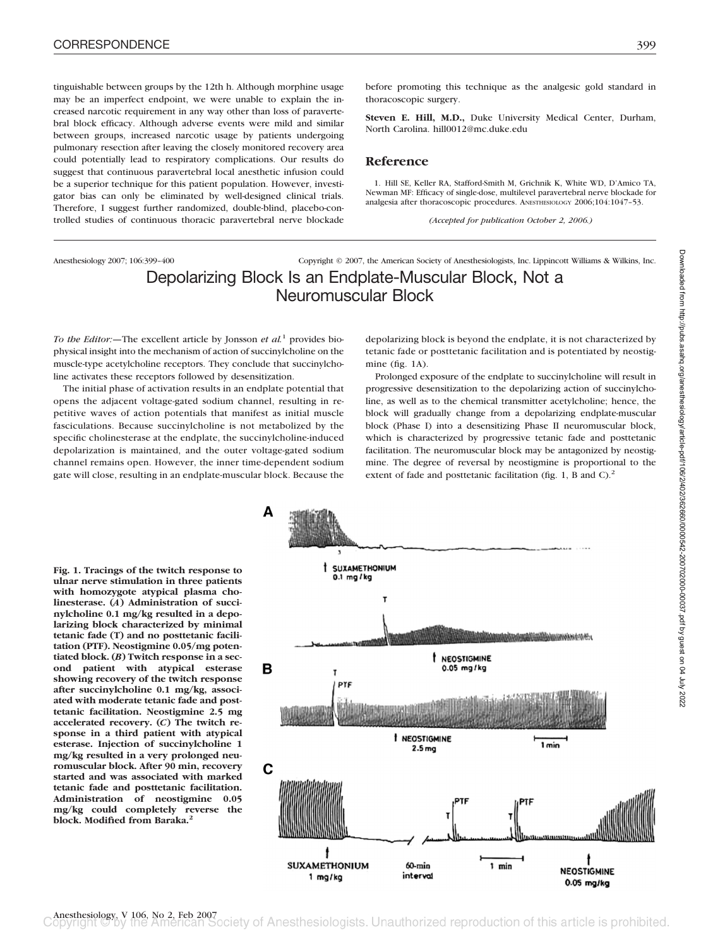tinguishable between groups by the 12th h. Although morphine usage may be an imperfect endpoint, we were unable to explain the increased narcotic requirement in any way other than loss of paravertebral block efficacy. Although adverse events were mild and similar between groups, increased narcotic usage by patients undergoing pulmonary resection after leaving the closely monitored recovery area could potentially lead to respiratory complications. Our results do suggest that continuous paravertebral local anesthetic infusion could be a superior technique for this patient population. However, investigator bias can only be eliminated by well-designed clinical trials. Therefore, I suggest further randomized, double-blind, placebo-controlled studies of continuous thoracic paravertebral nerve blockade before promoting this technique as the analgesic gold standard in thoracoscopic surgery.

**Steven E. Hill, M.D.,** Duke University Medical Center, Durham, North Carolina. hill0012@mc.duke.edu

## **Reference**

1. Hill SE, Keller RA, Stafford-Smith M, Grichnik K, White WD, D'Amico TA, Newman MF: Efficacy of single-dose, multilevel paravertebral nerve blockade for analgesia after thoracoscopic procedures. ANESTHESIOLOGY 2006;104:1047–53.

*(Accepted for publication October 2, 2006.)*

Anesthesiology 2007; 106:399–400 Copyright © 2007, the American Society of Anesthesiologists, Inc. Lippincott Williams & Wilkins, Inc.

# Depolarizing Block Is an Endplate-Muscular Block, Not a Neuromuscular Block

*To the Editor:—*The excellent article by Jonsson *et al.*<sup>1</sup> provides biophysical insight into the mechanism of action of succinylcholine on the muscle-type acetylcholine receptors. They conclude that succinylcholine activates these receptors followed by desensitization.

The initial phase of activation results in an endplate potential that opens the adjacent voltage-gated sodium channel, resulting in repetitive waves of action potentials that manifest as initial muscle fasciculations. Because succinylcholine is not metabolized by the specific cholinesterase at the endplate, the succinylcholine-induced depolarization is maintained, and the outer voltage-gated sodium channel remains open. However, the inner time-dependent sodium gate will close, resulting in an endplate-muscular block. Because the

depolarizing block is beyond the endplate, it is not characterized by tetanic fade or posttetanic facilitation and is potentiated by neostigmine (fig. 1A).

Prolonged exposure of the endplate to succinylcholine will result in progressive desensitization to the depolarizing action of succinylcholine, as well as to the chemical transmitter acetylcholine; hence, the block will gradually change from a depolarizing endplate-muscular block (Phase I) into a desensitizing Phase II neuromuscular block, which is characterized by progressive tetanic fade and posttetanic facilitation. The neuromuscular block may be antagonized by neostigmine. The degree of reversal by neostigmine is proportional to the extent of fade and posttetanic facilitation (fig. 1, B and C).<sup>2</sup>

**Fig. 1. Tracings of the twitch response to ulnar nerve stimulation in three patients with homozygote atypical plasma cholinesterase. (***A***) Administration of succinylcholine 0.1 mg/kg resulted in a depolarizing block characterized by minimal tetanic fade (T) and no posttetanic facilitation (PTF). Neostigmine 0.05/mg potentiated block. (***B***) Twitch response in a second patient with atypical esterase showing recovery of the twitch response after succinylcholine 0.1 mg/kg, associated with moderate tetanic fade and posttetanic facilitation. Neostigmine 2.5 mg accelerated recovery. (***C***) The twitch response in a third patient with atypical esterase. Injection of succinylcholine 1 mg/kg resulted in a very prolonged neuromuscular block. After 90 min, recovery started and was associated with marked tetanic fade and posttetanic facilitation. Administration of neostigmine 0.05 mg/kg could completely reverse the block. Modified from Baraka.2**

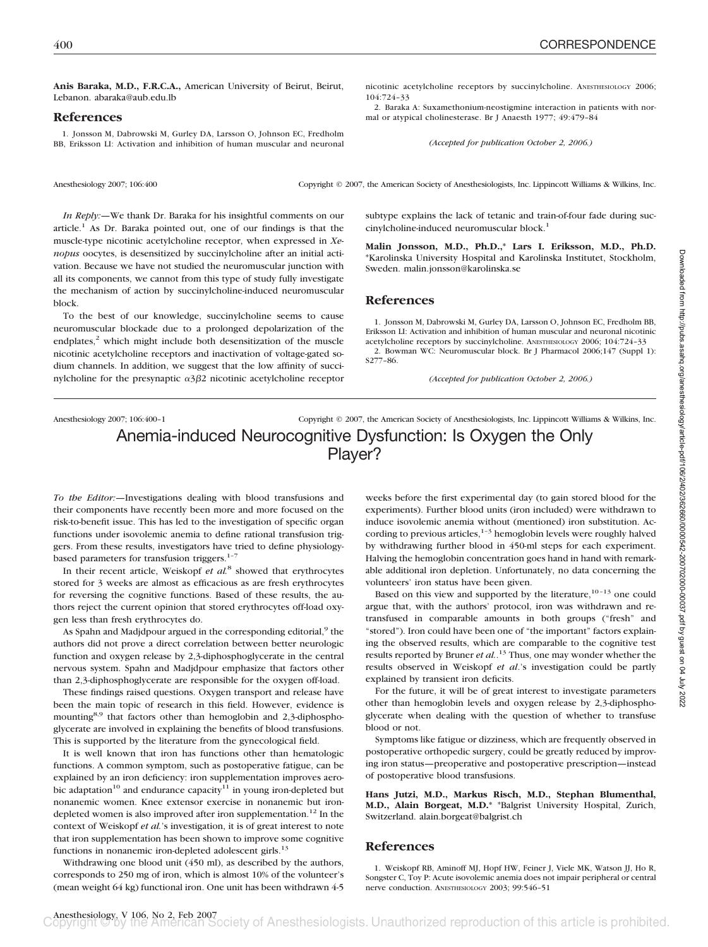**Anis Baraka, M.D., F.R.C.A.,** American University of Beirut, Beirut, Lebanon. abaraka@aub.edu.lb

#### **References**

1. Jonsson M, Dabrowski M, Gurley DA, Larsson O, Johnson EC, Fredholm BB, Eriksson LI: Activation and inhibition of human muscular and neuronal

Anesthesiology 2007; 106:400 Copyright © 2007, the American Society of Anesthesiologists, Inc. Lippincott Williams & Wilkins, Inc.

mal or atypical cholinesterase. Br J Anaesth 1977; 49:479–84

*In Reply:—*We thank Dr. Baraka for his insightful comments on our article.<sup>1</sup> As Dr. Baraka pointed out, one of our findings is that the muscle-type nicotinic acetylcholine receptor, when expressed in *Xenopus* oocytes, is desensitized by succinylcholine after an initial activation. Because we have not studied the neuromuscular junction with all its components, we cannot from this type of study fully investigate the mechanism of action by succinylcholine-induced neuromuscular block.

To the best of our knowledge, succinylcholine seems to cause neuromuscular blockade due to a prolonged depolarization of the endplates, $2$  which might include both desensitization of the muscle nicotinic acetylcholine receptors and inactivation of voltage-gated sodium channels. In addition, we suggest that the low affinity of succinylcholine for the presynaptic  $\alpha$ 3 $\beta$ 2 nicotinic acetylcholine receptor

subtype explains the lack of tetanic and train-of-four fade during succinylcholine-induced neuromuscular block $^{-1}$ 

nicotinic acetylcholine receptors by succinylcholine. ANESTHESIOLOGY 2006;

*(Accepted for publication October 2, 2006.)*

2. Baraka A: Suxamethonium-neostigmine interaction in patients with nor-

**Malin Jonsson, M.D., Ph.D.,\* Lars I. Eriksson, M.D., Ph.D.** \*Karolinska University Hospital and Karolinska Institutet, Stockholm, Sweden. malin.jonsson@karolinska.se

#### **References**

104:724–33

1. Jonsson M, Dabrowski M, Gurley DA, Larsson O, Johnson EC, Fredholm BB, Eriksson LI: Activation and inhibition of human muscular and neuronal nicotinic acetylcholine receptors by succinylcholine. ANESTHESIOLOGY 2006; 104:724-33 2. Bowman WC: Neuromuscular block. Br J Pharmacol 2006;147 (Suppl 1): S277–86.

*(Accepted for publication October 2, 2006.)*

Anesthesiology 2007; 106:400–1 Copyright © 2007, the American Society of Anesthesiologists, Inc. Lippincott Williams & Wilkins, Inc.

# Anemia-induced Neurocognitive Dysfunction: Is Oxygen the Only Player?

*To the Editor:—*Investigations dealing with blood transfusions and their components have recently been more and more focused on the risk-to-benefit issue. This has led to the investigation of specific organ functions under isovolemic anemia to define rational transfusion triggers. From these results, investigators have tried to define physiologybased parameters for transfusion triggers.<sup>1-7</sup>

In their recent article, Weiskopf *et al.*<sup>8</sup> showed that erythrocytes stored for 3 weeks are almost as efficacious as are fresh erythrocytes for reversing the cognitive functions. Based of these results, the authors reject the current opinion that stored erythrocytes off-load oxygen less than fresh erythrocytes do.

As Spahn and Madjdpour argued in the corresponding editorial,<sup>9</sup> the authors did not prove a direct correlation between better neurologic function and oxygen release by 2,3-diphosphoglycerate in the central nervous system. Spahn and Madjdpour emphasize that factors other than 2,3-diphosphoglycerate are responsible for the oxygen off-load.

These findings raised questions. Oxygen transport and release have been the main topic of research in this field. However, evidence is mounting8,9 that factors other than hemoglobin and 2,3-diphosphoglycerate are involved in explaining the benefits of blood transfusions. This is supported by the literature from the gynecological field.

It is well known that iron has functions other than hematologic functions. A common symptom, such as postoperative fatigue, can be explained by an iron deficiency: iron supplementation improves aerobic adaptation<sup>10</sup> and endurance capacity<sup>11</sup> in young iron-depleted but nonanemic women. Knee extensor exercise in nonanemic but irondepleted women is also improved after iron supplementation.<sup>12</sup> In the context of Weiskopf *et al.*'s investigation, it is of great interest to note that iron supplementation has been shown to improve some cognitive functions in nonanemic iron-depleted adolescent girls.<sup>13</sup>

Withdrawing one blood unit (450 ml), as described by the authors, corresponds to 250 mg of iron, which is almost 10% of the volunteer's (mean weight 64 kg) functional iron. One unit has been withdrawn 4-5

weeks before the first experimental day (to gain stored blood for the experiments). Further blood units (iron included) were withdrawn to induce isovolemic anemia without (mentioned) iron substitution. According to previous articles, $1-3$  hemoglobin levels were roughly halved by withdrawing further blood in 450-ml steps for each experiment. Halving the hemoglobin concentration goes hand in hand with remarkable additional iron depletion. Unfortunately, no data concerning the volunteers' iron status have been given.

Based on this view and supported by the literature,  $10-13$  one could argue that, with the authors' protocol, iron was withdrawn and retransfused in comparable amounts in both groups ("fresh" and "stored"). Iron could have been one of "the important" factors explaining the observed results, which are comparable to the cognitive test results reported by Bruner *et al.*. <sup>13</sup> Thus, one may wonder whether the results observed in Weiskopf *et al*.'s investigation could be partly explained by transient iron deficits.

For the future, it will be of great interest to investigate parameters other than hemoglobin levels and oxygen release by 2,3-diphosphoglycerate when dealing with the question of whether to transfuse blood or not.

Symptoms like fatigue or dizziness, which are frequently observed in postoperative orthopedic surgery, could be greatly reduced by improving iron status—preoperative and postoperative prescription—instead of postoperative blood transfusions.

**Hans Jutzi, M.D., Markus Risch, M.D., Stephan Blumenthal, M.D., Alain Borgeat, M.D.\*** \*Balgrist University Hospital, Zurich, Switzerland. alain.borgeat@balgrist.ch

# **References**

1. Weiskopf RB, Aminoff MJ, Hopf HW, Feiner J, Viele MK, Watson JJ, Ho R, Songster C, Toy P: Acute isovolemic anemia does not impair peripheral or central nerve conduction. ANESTHESIOLOGY 2003; 99:546–51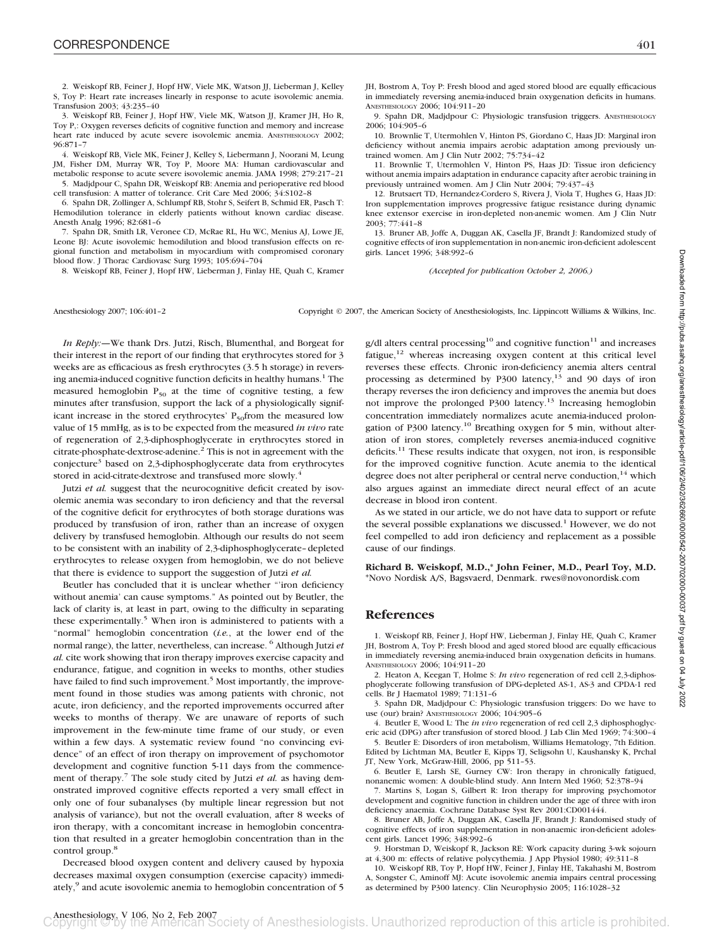2. Weiskopf RB, Feiner J, Hopf HW, Viele MK, Watson JJ, Lieberman J, Kelley S, Toy P: Heart rate increases linearly in response to acute isovolemic anemia. Transfusion 2003; 43:235–40

3. Weiskopf RB, Feiner J, Hopf HW, Viele MK, Watson JJ, Kramer JH, Ho R, Toy P,: Oxygen reverses deficits of cognitive function and memory and increase heart rate induced by acute severe isovolemic anemia. ANESTHESIOLOGY 2002; 96:871–7

4. Weiskopf RB, Viele MK, Feiner J, Kelley S, Liebermann J, Noorani M, Leung JM, Fisher DM, Murray WR, Toy P, Moore MA: Human cardiovascular and metabolic response to acute severe isovolemic anemia. JAMA 1998; 279:217–21 5. Madjdpour C, Spahn DR, Weiskopf RB: Anemia and perioperative red blood

cell transfusion: A matter of tolerance. Crit Care Med 2006; 34:S102–8

6. Spahn DR, Zollinger A, Schlumpf RB, Stohr S, Seifert B, Schmid ER, Pasch T: Hemodilution tolerance in elderly patients without known cardiac disease. Anesth Analg 1996; 82:681–6

7. Spahn DR, Smith LR, Veronee CD, McRae RL, Hu WC, Menius AJ, Lowe JE, Leone BJ: Acute isovolemic hemodilution and blood transfusion effects on regional function and metabolism in myocardium with compromised coronary blood flow. J Thorac Cardiovasc Surg 1993; 105:694–704

8. Weiskopf RB, Feiner J, Hopf HW, Lieberman J, Finlay HE, Quah C, Kramer

JH, Bostrom A, Toy P: Fresh blood and aged stored blood are equally efficacious in immediately reversing anemia-induced brain oxygenation deficits in humans. ANESTHESIOLOGY 2006; 104:911–20

9. Spahn DR, Madjdpour C: Physiologic transfusion triggers. ANESTHESIOLOGY 2006; 104:905–6

10. Brownlie T, Utermohlen V, Hinton PS, Giordano C, Haas JD: Marginal iron deficiency without anemia impairs aerobic adaptation among previously untrained women. Am J Clin Nutr 2002; 75:734–42

11. Brownlie T, Utermohlen V, Hinton PS, Haas JD: Tissue iron deficiency without anemia impairs adaptation in endurance capacity after aerobic training in previously untrained women. Am J Clin Nutr 2004; 79:437–43

12. Brutsaert TD, Hernandez-Cordero S, Rivera J, Viola T, Hughes G, Haas JD: Iron supplementation improves progressive fatigue resistance during dynamic knee extensor exercise in iron-depleted non-anemic women. Am J Clin Nutr 2003; 77:441–8

13. Bruner AB, Joffe A, Duggan AK, Casella JF, Brandt J: Randomized study of cognitive effects of iron supplementation in non-anemic iron-deficient adolescent girls. Lancet 1996; 348:992–6

*(Accepted for publication October 2, 2006.)*

Anesthesiology 2007; 106:401-2 Copyright © 2007, the American Society of Anesthesiologists, Inc. Lippincott Williams & Wilkins, Inc.

*In Reply:—*We thank Drs. Jutzi, Risch, Blumenthal, and Borgeat for their interest in the report of our finding that erythrocytes stored for 3 weeks are as efficacious as fresh erythrocytes (3.5 h storage) in reversing anemia-induced cognitive function deficits in healthy humans.<sup>1</sup> The measured hemoglobin  $P_{50}$  at the time of cognitive testing, a few minutes after transfusion, support the lack of a physiologically significant increase in the stored erythrocytes'  $P_{50}$ from the measured low value of 15 mmHg, as is to be expected from the measured *in vivo* rate of regeneration of 2,3-diphosphoglycerate in erythrocytes stored in citrate-phosphate-dextrose-adenine.2 This is not in agreement with the conjecture3 based on 2,3-diphosphoglycerate data from erythrocytes stored in acid-citrate-dextrose and transfused more slowly.<sup>4</sup>

Jutzi *et al.* suggest that the neurocognitive deficit created by isovolemic anemia was secondary to iron deficiency and that the reversal of the cognitive deficit for erythrocytes of both storage durations was produced by transfusion of iron, rather than an increase of oxygen delivery by transfused hemoglobin. Although our results do not seem to be consistent with an inability of 2,3-diphosphoglycerate–depleted erythrocytes to release oxygen from hemoglobin, we do not believe that there is evidence to support the suggestion of Jutzi *et al.*

Beutler has concluded that it is unclear whether "'iron deficiency without anemia' can cause symptoms." As pointed out by Beutler, the lack of clarity is, at least in part, owing to the difficulty in separating these experimentally.<sup>5</sup> When iron is administered to patients with a "normal" hemoglobin concentration (*i.e.*, at the lower end of the normal range), the latter, nevertheless, can increase. <sup>6</sup> Although Jutzi *et al.* cite work showing that iron therapy improves exercise capacity and endurance, fatigue, and cognition in weeks to months, other studies have failed to find such improvement.<sup>5</sup> Most importantly, the improvement found in those studies was among patients with chronic, not acute, iron deficiency, and the reported improvements occurred after weeks to months of therapy. We are unaware of reports of such improvement in the few-minute time frame of our study, or even within a few days. A systematic review found "no convincing evidence" of an effect of iron therapy on improvement of psychomotor development and cognitive function 5-11 days from the commencement of therapy.<sup>7</sup> The sole study cited by Jutzi *et al.* as having demonstrated improved cognitive effects reported a very small effect in only one of four subanalyses (by multiple linear regression but not analysis of variance), but not the overall evaluation, after 8 weeks of iron therapy, with a concomitant increase in hemoglobin concentration that resulted in a greater hemoglobin concentration than in the control group.<sup>8</sup>

Decreased blood oxygen content and delivery caused by hypoxia decreases maximal oxygen consumption (exercise capacity) immediately,<sup>9</sup> and acute isovolemic anemia to hemoglobin concentration of 5

g/dl alters central processing<sup>10</sup> and cognitive function<sup>11</sup> and increases fatigue, $12$  whereas increasing oxygen content at this critical level reverses these effects. Chronic iron-deficiency anemia alters central processing as determined by P300 latency,<sup>13</sup> and 90 days of iron therapy reverses the iron deficiency and improves the anemia but does not improve the prolonged P300 latency.<sup>13</sup> Increasing hemoglobin concentration immediately normalizes acute anemia-induced prolongation of P300 latency.<sup>10</sup> Breathing oxygen for 5 min, without alteration of iron stores, completely reverses anemia-induced cognitive deficits.<sup>11</sup> These results indicate that oxygen, not iron, is responsible for the improved cognitive function. Acute anemia to the identical degree does not alter peripheral or central nerve conduction,<sup>14</sup> which also argues against an immediate direct neural effect of an acute decrease in blood iron content.

As we stated in our article, we do not have data to support or refute the several possible explanations we discussed.<sup>1</sup> However, we do not feel compelled to add iron deficiency and replacement as a possible cause of our findings.

**Richard B. Weiskopf, M.D.,\* John Feiner, M.D., Pearl Toy, M.D.** \*Novo Nordisk A/S, Bagsvaerd, Denmark. rwes@novonordisk.com

#### **References**

1. Weiskopf RB, Feiner J, Hopf HW, Lieberman J, Finlay HE, Quah C, Kramer JH, Bostrom A, Toy P: Fresh blood and aged stored blood are equally efficacious in immediately reversing anemia-induced brain oxygenation deficits in humans. ANESTHESIOLOGY 2006; 104:911–20

2. Heaton A, Keegan T, Holme S: *In vivo* regeneration of red cell 2,3-diphosphoglycerate following transfusion of DPG-depleted AS-1, AS-3 and CPDA-1 red cells. Br J Haematol 1989; 71:131–6

3. Spahn DR, Madjdpour C: Physiologic transfusion triggers: Do we have to use (our) brain? ANESTHESIOLOGY 2006; 104:905–6

4. Beutler E, Wood L: The *in vivo* regeneration of red cell 2,3 diphosphoglyceric acid (DPG) after transfusion of stored blood. J Lab Clin Med 1969; 74:300–4

5. Beutler E: Disorders of iron metabolism, Williams Hematology, 7th Edition. Edited by Lichtman MA, Beutler E, Kipps TJ, Seligsohn U, Kaushansky K, Prchal JT, New York, McGraw-Hill, 2006, pp 511–53.

6. Beutler E, Larsh SE, Gurney CW: Iron therapy in chronically fatigued, nonanemic women: A double-blind study. Ann Intern Med 1960; 52:378–94

7. Martins S, Logan S, Gilbert R: Iron therapy for improving psychomotor development and cognitive function in children under the age of three with iron deficiency anaemia. Cochrane Database Syst Rev 2001:CD001444.

8. Bruner AB, Joffe A, Duggan AK, Casella JF, Brandt J: Randomised study of cognitive effects of iron supplementation in non-anaemic iron-deficient adolescent girls. Lancet 1996; 348:992–6

9. Horstman D, Weiskopf R, Jackson RE: Work capacity during 3-wk sojourn at 4,300 m: effects of relative polycythemia. J App Physiol 1980; 49:311–8

10. Weiskopf RB, Toy P, Hopf HW, Feiner J, Finlay HE, Takahashi M, Bostrom A, Songster C, Aminoff MJ: Acute isovolemic anemia impairs central processing

as determined by P300 latency. Clin Neurophysio 2005; 116:1028–32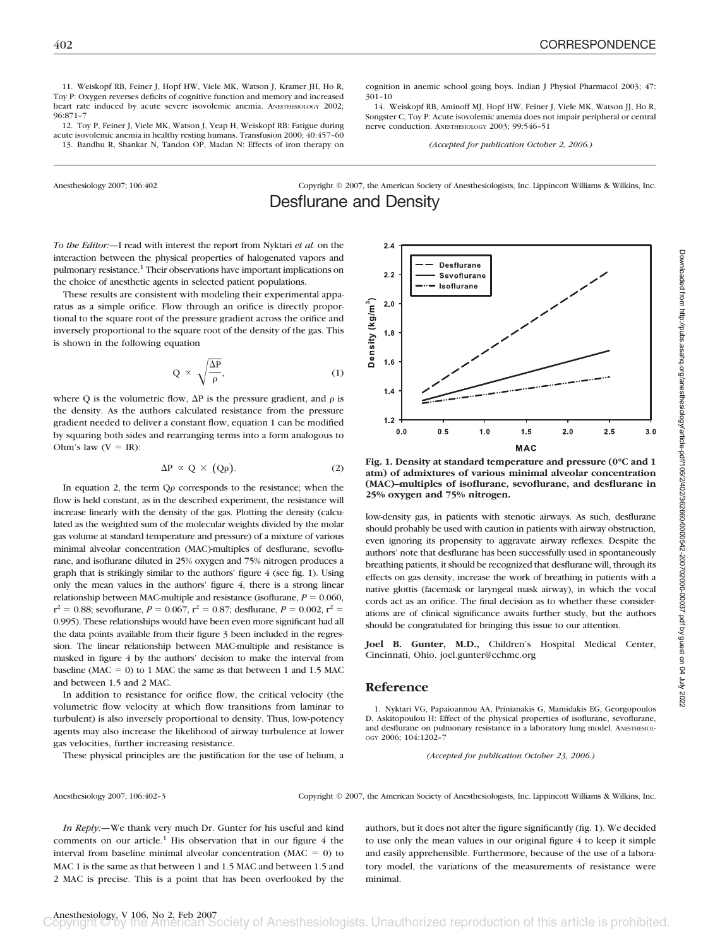11. Weiskopf RB, Feiner J, Hopf HW, Viele MK, Watson J, Kramer JH, Ho R, Toy P: Oxygen reverses deficits of cognitive function and memory and increased heart rate induced by acute severe isovolemic anemia. ANESTHESIOLOGY 2002; 96:871–7

12. Toy P, Feiner J, Viele MK, Watson J, Yeap H, Weiskopf RB: Fatigue during acute isovolemic anemia in healthy resting humans. Transfusion 2000; 40:457–60 13. Bandhu R, Shankar N, Tandon OP, Madan N: Effects of iron therapy on

Anesthesiology 2007; 106:402 Copyright © 2007, the American Society of Anesthesiologists, Inc. Lippincott Williams & Wilkins, Inc.

nerve conduction. ANESTHESIOLOGY 2003; 99:546–51



301–10

*To the Editor:—*I read with interest the report from Nyktari *et al.* on the interaction between the physical properties of halogenated vapors and pulmonary resistance.<sup>1</sup> Their observations have important implications on the choice of anesthetic agents in selected patient populations.

These results are consistent with modeling their experimental apparatus as a simple orifice. Flow through an orifice is directly proportional to the square root of the pressure gradient across the orifice and inversely proportional to the square root of the density of the gas. This is shown in the following equation

$$
Q \propto \sqrt{\frac{\Delta P}{\rho}},\tag{1}
$$

where Q is the volumetric flow,  $\Delta P$  is the pressure gradient, and  $\rho$  is the density. As the authors calculated resistance from the pressure gradient needed to deliver a constant flow, equation 1 can be modified by squaring both sides and rearranging terms into a form analogous to Ohm's law  $(V = IR)$ :

$$
\Delta P \propto Q \times (Q\rho). \tag{2}
$$

In equation 2, the term  $Q\rho$  corresponds to the resistance; when the flow is held constant, as in the described experiment, the resistance will increase linearly with the density of the gas. Plotting the density (calculated as the weighted sum of the molecular weights divided by the molar gas volume at standard temperature and pressure) of a mixture of various minimal alveolar concentration (MAC)-multiples of desflurane, sevoflurane, and isoflurane diluted in 25% oxygen and 75% nitrogen produces a graph that is strikingly similar to the authors' figure 4 (see fig. 1). Using only the mean values in the authors' figure 4, there is a strong linear relationship between MAC-multiple and resistance (isoflurane,  $P = 0.060$ ,  $r^2 = 0.88$ ; sevoflurane,  $P = 0.067$ ,  $r^2 = 0.87$ ; desflurane,  $P = 0.002$ ,  $r^2 =$ 0.995). These relationships would have been even more significant had all the data points available from their figure 3 been included in the regression. The linear relationship between MAC-multiple and resistance is masked in figure 4 by the authors' decision to make the interval from baseline ( $MAC = 0$ ) to 1 MAC the same as that between 1 and 1.5 MAC and between 1.5 and 2 MAC.

In addition to resistance for orifice flow, the critical velocity (the volumetric flow velocity at which flow transitions from laminar to turbulent) is also inversely proportional to density. Thus, low-potency agents may also increase the likelihood of airway turbulence at lower gas velocities, further increasing resistance.

These physical principles are the justification for the use of helium, a



cognition in anemic school going boys. Indian J Physiol Pharmacol 2003; 47:

14. Weiskopf RB, Aminoff MJ, Hopf HW, Feiner J, Viele MK, Watson JJ, Ho R, Songster C, Toy P: Acute isovolemic anemia does not impair peripheral or central

*(Accepted for publication October 2, 2006.)*

**Fig. 1. Density at standard temperature and pressure (0°C and 1 atm) of admixtures of various minimal alveolar concentration (MAC)–multiples of isoflurane, sevoflurane, and desflurane in 25% oxygen and 75% nitrogen.**

low-density gas, in patients with stenotic airways. As such, desflurane should probably be used with caution in patients with airway obstruction, even ignoring its propensity to aggravate airway reflexes. Despite the authors' note that desflurane has been successfully used in spontaneously breathing patients, it should be recognized that desflurane will, through its effects on gas density, increase the work of breathing in patients with a native glottis (facemask or laryngeal mask airway), in which the vocal cords act as an orifice. The final decision as to whether these considerations are of clinical significance awaits further study, but the authors should be congratulated for bringing this issue to our attention.

**Joel B. Gunter, M.D.,** Children's Hospital Medical Center, Cincinnati, Ohio. joel.gunter@cchmc.org

## **Reference**

1. Nyktari VG, Papaioannou AA, Prinianakis G, Mamidakis EG, Georgopoulos D, Askitopoulou H: Effect of the physical properties of isoflurane, sevoflurane, and desflurane on pulmonary resistance in a laboratory lung model. ANESTHESIOL-OGY 2006; 104:1202–7

*(Accepted for publication October 23, 2006.)*

Anesthesiology 2007; 106:402–3 Copyright © 2007, the American Society of Anesthesiologists, Inc. Lippincott Williams & Wilkins, Inc.

*In Reply:—*We thank very much Dr. Gunter for his useful and kind comments on our article.<sup>1</sup> His observation that in our figure 4 the interval from baseline minimal alveolar concentration ( $MAC = 0$ ) to MAC 1 is the same as that between 1 and 1.5 MAC and between 1.5 and 2 MAC is precise. This is a point that has been overlooked by the authors, but it does not alter the figure significantly (fig. 1). We decided to use only the mean values in our original figure 4 to keep it simple and easily apprehensible. Furthermore, because of the use of a laboratory model, the variations of the measurements of resistance were minimal.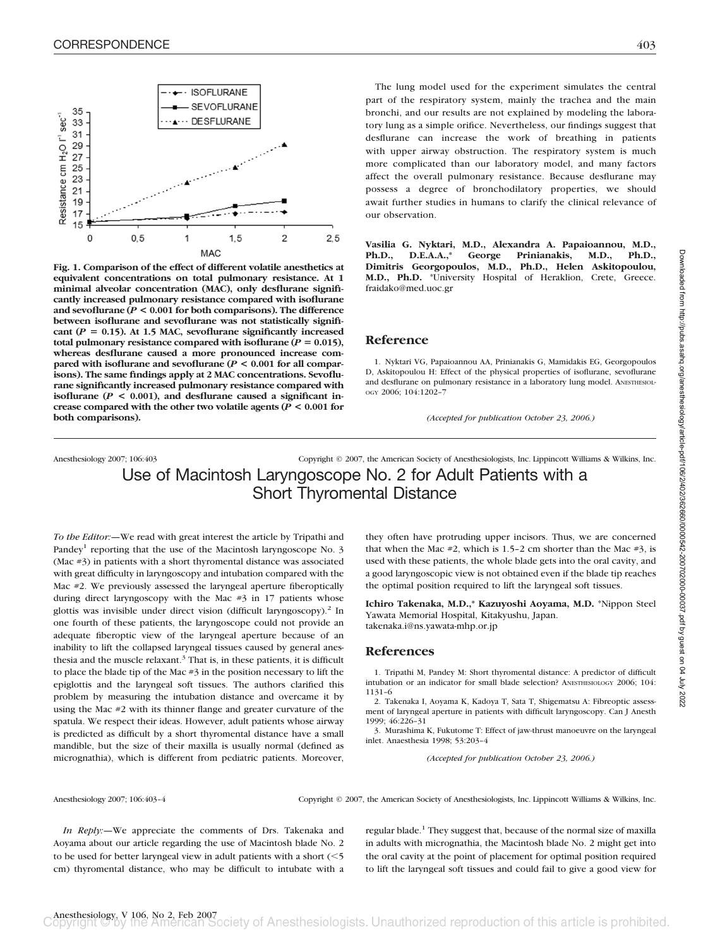

**Fig. 1. Comparison of the effect of different volatile anesthetics at equivalent concentrations on total pulmonary resistance. At 1 minimal alveolar concentration (MAC), only desflurane significantly increased pulmonary resistance compared with isoflurane and sevoflurane (***P* **< 0.001 for both comparisons). The difference between isoflurane and sevoflurane was not statistically signifi**cant  $(P = 0.15)$ . At 1.5 MAC, sevoflurane significantly increased total pulmonary resistance compared with isoflurane  $(P = 0.015)$ , **whereas desflurane caused a more pronounced increase compared with isoflurane and sevoflurane (***P* **< 0.001 for all comparisons). The same findings apply at 2 MAC concentrations. Sevoflurane significantly increased pulmonary resistance compared with isoflurane (***P* **< 0.001), and desflurane caused a significant increase compared with the other two volatile agents (***P* **< 0.001 for both comparisons).**

The lung model used for the experiment simulates the central part of the respiratory system, mainly the trachea and the main bronchi, and our results are not explained by modeling the laboratory lung as a simple orifice. Nevertheless, our findings suggest that desflurane can increase the work of breathing in patients with upper airway obstruction. The respiratory system is much more complicated than our laboratory model, and many factors affect the overall pulmonary resistance. Because desflurane may possess a degree of bronchodilatory properties, we should await further studies in humans to clarify the clinical relevance of our observation.

**Vasilia G. Nyktari, M.D., Alexandra A. Papaioannou, M.D., Ph.D., D.E.A.A.,\* George Prinianakis, M.D., Ph.D., Dimitris Georgopoulos, M.D., Ph.D., Helen Askitopoulou, M.D., Ph.D.** \*University Hospital of Heraklion, Crete, Greece. fraidako@med.uoc.gr

#### **Reference**

1. Nyktari VG, Papaioannou AA, Prinianakis G, Mamidakis EG, Georgopoulos D, Askitopoulou H: Effect of the physical properties of isoflurane, sevoflurane and desflurane on pulmonary resistance in a laboratory lung model. ANESTHESIOL-OGY 2006; 104:1202–7

*(Accepted for publication October 23, 2006.)*

Anesthesiology 2007; 106:403 Copyright © 2007, the American Society of Anesthesiologists, Inc. Lippincott Williams & Wilkins, Inc.

Use of Macintosh Laryngoscope No. 2 for Adult Patients with a Short Thyromental Distance

*To the Editor:—*We read with great interest the article by Tripathi and Pandey<sup>1</sup> reporting that the use of the Macintosh laryngoscope No.  $3$ (Mac #3) in patients with a short thyromental distance was associated with great difficulty in laryngoscopy and intubation compared with the Mac #2. We previously assessed the laryngeal aperture fiberoptically during direct laryngoscopy with the Mac #3 in 17 patients whose glottis was invisible under direct vision (difficult laryngoscopy).<sup>2</sup> In one fourth of these patients, the laryngoscope could not provide an adequate fiberoptic view of the laryngeal aperture because of an inability to lift the collapsed laryngeal tissues caused by general anesthesia and the muscle relaxant. $3$  That is, in these patients, it is difficult to place the blade tip of the Mac #3 in the position necessary to lift the epiglottis and the laryngeal soft tissues. The authors clarified this problem by measuring the intubation distance and overcame it by using the Mac #2 with its thinner flange and greater curvature of the spatula. We respect their ideas. However, adult patients whose airway is predicted as difficult by a short thyromental distance have a small mandible, but the size of their maxilla is usually normal (defined as micrognathia), which is different from pediatric patients. Moreover, they often have protruding upper incisors. Thus, we are concerned that when the Mac  $\#2$ , which is 1.5–2 cm shorter than the Mac  $\#3$ , is used with these patients, the whole blade gets into the oral cavity, and a good laryngoscopic view is not obtained even if the blade tip reaches the optimal position required to lift the laryngeal soft tissues.

**Ichiro Takenaka, M.D.,\* Kazuyoshi Aoyama, M.D.** \*Nippon Steel Yawata Memorial Hospital, Kitakyushu, Japan.

takenaka.i@ns.yawata-mhp.or.jp

#### **References**

1. Tripathi M, Pandey M: Short thyromental distance: A predictor of difficult intubation or an indicator for small blade selection? ANESTHESIOLOGY 2006; 104: 1131–6

2. Takenaka I, Aoyama K, Kadoya T, Sata T, Shigematsu A: Fibreoptic assessment of laryngeal aperture in patients with difficult laryngoscopy. Can J Anesth 1999; 46:226–31

3. Murashima K, Fukutome T: Effect of jaw-thrust manoeuvre on the laryngeal inlet. Anaesthesia 1998; 53:203–4

*(Accepted for publication October 23, 2006.)*

Anesthesiology 2007; 106:403–4 Copyright © 2007, the American Society of Anesthesiologists, Inc. Lippincott Williams & Wilkins, Inc.

*In Reply:*—We appreciate the comments of Drs. Takenaka and Aoyama about our article regarding the use of Macintosh blade No. 2 to be used for better laryngeal view in adult patients with a short  $(<$  5 cm) thyromental distance, who may be difficult to intubate with a regular blade.<sup>1</sup> They suggest that, because of the normal size of maxilla in adults with micrognathia, the Macintosh blade No. 2 might get into the oral cavity at the point of placement for optimal position required to lift the laryngeal soft tissues and could fail to give a good view for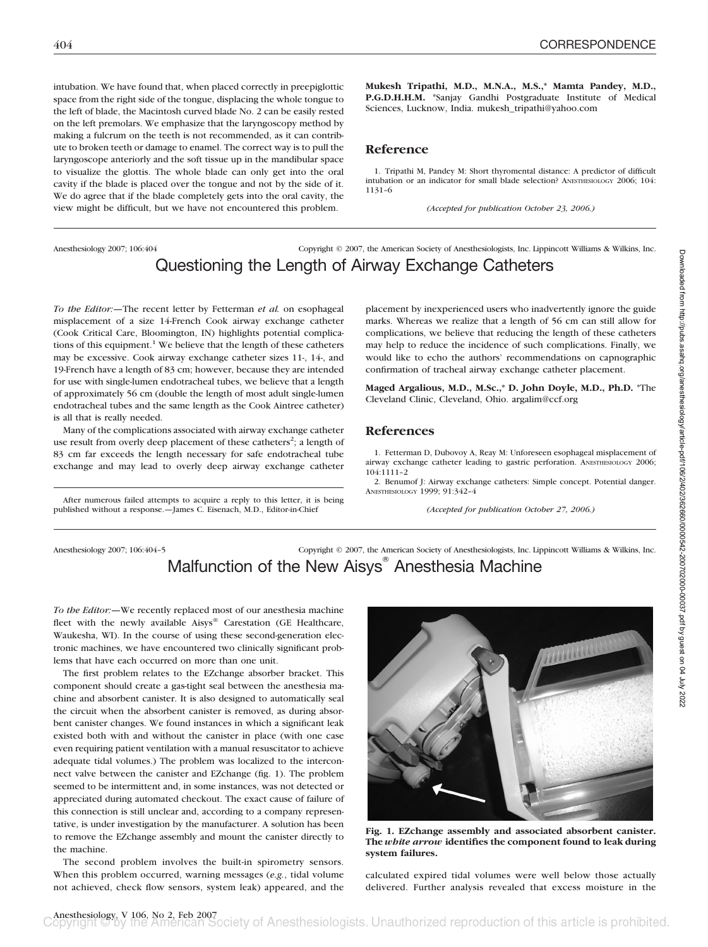intubation. We have found that, when placed correctly in preepiglottic space from the right side of the tongue, displacing the whole tongue to the left of blade, the Macintosh curved blade No. 2 can be easily rested on the left premolars. We emphasize that the laryngoscopy method by making a fulcrum on the teeth is not recommended, as it can contribute to broken teeth or damage to enamel. The correct way is to pull the laryngoscope anteriorly and the soft tissue up in the mandibular space to visualize the glottis. The whole blade can only get into the oral cavity if the blade is placed over the tongue and not by the side of it. We do agree that if the blade completely gets into the oral cavity, the view might be difficult, but we have not encountered this problem.

**Mukesh Tripathi, M.D., M.N.A., M.S.,\* Mamta Pandey, M.D., P.G.D.H.H.M.** \*Sanjay Gandhi Postgraduate Institute of Medical Sciences, Lucknow, India. mukesh\_tripathi@yahoo.com

## **Reference**

1. Tripathi M, Pandey M: Short thyromental distance: A predictor of difficult intubation or an indicator for small blade selection? ANESTHESIOLOGY 2006; 104: 1131–6

*(Accepted for publication October 23, 2006.)*

# Anesthesiology 2007; 106:404 Copyright © 2007, the American Society of Anesthesiologists, Inc. Lippincott Williams & Wilkins, Inc. Questioning the Length of Airway Exchange Catheters

*To the Editor:—*The recent letter by Fetterman *et al.* on esophageal misplacement of a size 14-French Cook airway exchange catheter (Cook Critical Care, Bloomington, IN) highlights potential complications of this equipment.<sup>1</sup> We believe that the length of these catheters may be excessive. Cook airway exchange catheter sizes 11-, 14-, and 19-French have a length of 83 cm; however, because they are intended for use with single-lumen endotracheal tubes, we believe that a length of approximately 56 cm (double the length of most adult single-lumen endotracheal tubes and the same length as the Cook Aintree catheter) is all that is really needed.

Many of the complications associated with airway exchange catheter use result from overly deep placement of these catheters<sup>2</sup>; a length of 83 cm far exceeds the length necessary for safe endotracheal tube exchange and may lead to overly deep airway exchange catheter

After numerous failed attempts to acquire a reply to this letter, it is being published without a response.—James C. Eisenach, M.D., Editor-in-Chief

placement by inexperienced users who inadvertently ignore the guide marks. Whereas we realize that a length of 56 cm can still allow for complications, we believe that reducing the length of these catheters may help to reduce the incidence of such complications. Finally, we would like to echo the authors' recommendations on capnographic confirmation of tracheal airway exchange catheter placement.

**Maged Argalious, M.D., M.Sc.,\* D. John Doyle, M.D., Ph.D.** \*The Cleveland Clinic, Cleveland, Ohio. argalim@ccf.org

### **References**

1. Fetterman D, Dubovoy A, Reay M: Unforeseen esophageal misplacement of airway exchange catheter leading to gastric perforation. ANESTHESIOLOGY 2006; 104:1111–2

2. Benumof J: Airway exchange catheters: Simple concept. Potential danger. ANESTHESIOLOGY 1999; 91:342–4

*(Accepted for publication October 27, 2006.)*

# Anesthesiology 2007; 106:404–5 Copyright © 2007, the American Society of Anesthesiologists, Inc. Lippincott Williams & Wilkins, Inc. Malfunction of the New Aisys<sup>®</sup> Anesthesia Machine

*To the Editor:—*We recently replaced most of our anesthesia machine fleet with the newly available Aisys® Carestation (GE Healthcare, Waukesha, WI). In the course of using these second-generation electronic machines, we have encountered two clinically significant problems that have each occurred on more than one unit.

The first problem relates to the EZchange absorber bracket. This component should create a gas-tight seal between the anesthesia machine and absorbent canister. It is also designed to automatically seal the circuit when the absorbent canister is removed, as during absorbent canister changes. We found instances in which a significant leak existed both with and without the canister in place (with one case even requiring patient ventilation with a manual resuscitator to achieve adequate tidal volumes.) The problem was localized to the interconnect valve between the canister and EZchange (fig. 1). The problem seemed to be intermittent and, in some instances, was not detected or appreciated during automated checkout. The exact cause of failure of this connection is still unclear and, according to a company representative, is under investigation by the manufacturer. A solution has been to remove the EZchange assembly and mount the canister directly to the machine.

The second problem involves the built-in spirometry sensors. When this problem occurred, warning messages (*e.g.*, tidal volume not achieved, check flow sensors, system leak) appeared, and the



**Fig. 1. EZchange assembly and associated absorbent canister. The** *white arrow* **identifies the component found to leak during system failures.**

calculated expired tidal volumes were well below those actually delivered. Further analysis revealed that excess moisture in the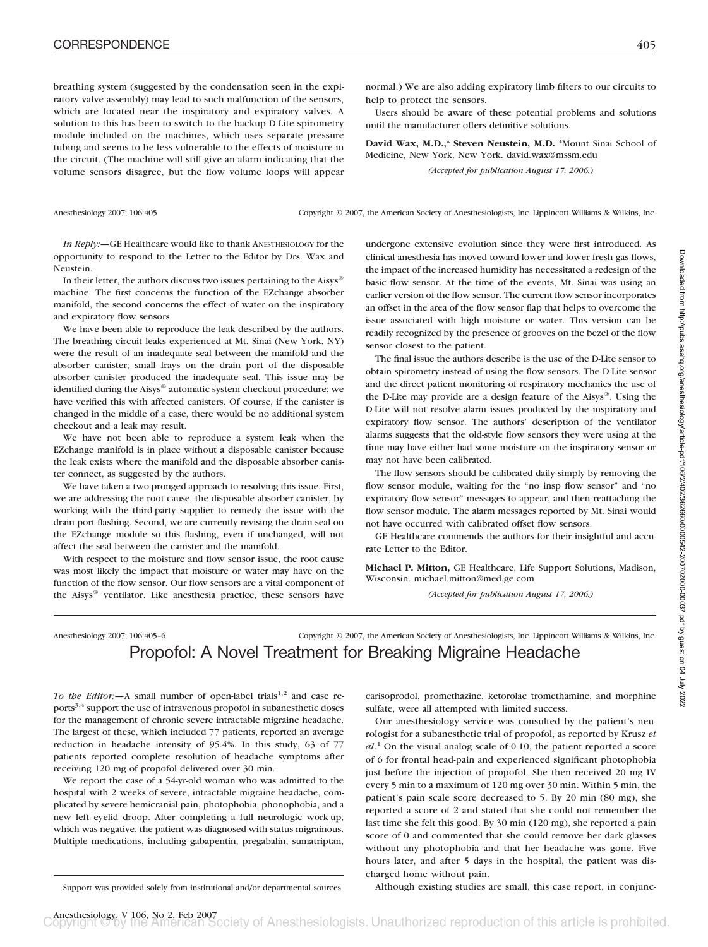breathing system (suggested by the condensation seen in the expiratory valve assembly) may lead to such malfunction of the sensors, which are located near the inspiratory and expiratory valves. A solution to this has been to switch to the backup D-Lite spirometry module included on the machines, which uses separate pressure tubing and seems to be less vulnerable to the effects of moisture in the circuit. (The machine will still give an alarm indicating that the volume sensors disagree, but the flow volume loops will appear

Anesthesiology 2007; 106:405 Copyright © 2007, the American Society of Anesthesiologists, Inc. Lippincott Williams & Wilkins, Inc.

Medicine, New York, New York. david.wax@mssm.edu

until the manufacturer offers definitive solutions.

help to protect the sensors.

*In Reply:—*GE Healthcare would like to thank ANESTHESIOLOGY for the opportunity to respond to the Letter to the Editor by Drs. Wax and Neustein.

In their letter, the authors discuss two issues pertaining to the Aisys® machine. The first concerns the function of the EZchange absorber manifold, the second concerns the effect of water on the inspiratory and expiratory flow sensors.

We have been able to reproduce the leak described by the authors. The breathing circuit leaks experienced at Mt. Sinai (New York, NY) were the result of an inadequate seal between the manifold and the absorber canister; small frays on the drain port of the disposable absorber canister produced the inadequate seal. This issue may be identified during the  $\mathrm{Aisys}^{\circledast}$  automatic system checkout procedure; we have verified this with affected canisters. Of course, if the canister is changed in the middle of a case, there would be no additional system checkout and a leak may result.

We have not been able to reproduce a system leak when the EZchange manifold is in place without a disposable canister because the leak exists where the manifold and the disposable absorber canister connect, as suggested by the authors.

We have taken a two-pronged approach to resolving this issue. First, we are addressing the root cause, the disposable absorber canister, by working with the third-party supplier to remedy the issue with the drain port flashing. Second, we are currently revising the drain seal on the EZchange module so this flashing, even if unchanged, will not affect the seal between the canister and the manifold.

With respect to the moisture and flow sensor issue, the root cause was most likely the impact that moisture or water may have on the function of the flow sensor. Our flow sensors are a vital component of the Aisys® ventilator. Like anesthesia practice, these sensors have

undergone extensive evolution since they were first introduced. As clinical anesthesia has moved toward lower and lower fresh gas flows, the impact of the increased humidity has necessitated a redesign of the basic flow sensor. At the time of the events, Mt. Sinai was using an earlier version of the flow sensor. The current flow sensor incorporates an offset in the area of the flow sensor flap that helps to overcome the issue associated with high moisture or water. This version can be readily recognized by the presence of grooves on the bezel of the flow sensor closest to the patient.

normal.) We are also adding expiratory limb filters to our circuits to

Users should be aware of these potential problems and solutions

**David Wax, M.D.,\* Steven Neustein, M.D.** \*Mount Sinai School of

*(Accepted for publication August 17, 2006.)*

The final issue the authors describe is the use of the D-Lite sensor to obtain spirometry instead of using the flow sensors. The D-Lite sensor and the direct patient monitoring of respiratory mechanics the use of the D-Lite may provide are a design feature of the Aisys®. Using the D-Lite will not resolve alarm issues produced by the inspiratory and expiratory flow sensor. The authors' description of the ventilator alarms suggests that the old-style flow sensors they were using at the time may have either had some moisture on the inspiratory sensor or may not have been calibrated.

The flow sensors should be calibrated daily simply by removing the flow sensor module, waiting for the "no insp flow sensor" and "no expiratory flow sensor" messages to appear, and then reattaching the flow sensor module. The alarm messages reported by Mt. Sinai would not have occurred with calibrated offset flow sensors.

GE Healthcare commends the authors for their insightful and accurate Letter to the Editor.

**Michael P. Mitton,** GE Healthcare, Life Support Solutions, Madison, Wisconsin. michael.mitton@med.ge.com

*(Accepted for publication August 17, 2006.)*

Anesthesiology 2007; 106:405–6 Copyright © 2007, the American Society of Anesthesiologists, Inc. Lippincott Williams & Wilkins, Inc. Propofol: A Novel Treatment for Breaking Migraine Headache

*To the Editor:* - A small number of open-label trials<sup>1,2</sup> and case reports<sup>3,4</sup> support the use of intravenous propofol in subanesthetic doses for the management of chronic severe intractable migraine headache. The largest of these, which included 77 patients, reported an average reduction in headache intensity of 95.4%. In this study, 63 of 77 patients reported complete resolution of headache symptoms after receiving 120 mg of propofol delivered over 30 min.

We report the case of a 54-yr-old woman who was admitted to the hospital with 2 weeks of severe, intractable migraine headache, complicated by severe hemicranial pain, photophobia, phonophobia, and a new left eyelid droop. After completing a full neurologic work-up, which was negative, the patient was diagnosed with status migrainous. Multiple medications, including gabapentin, pregabalin, sumatriptan,

carisoprodol, promethazine, ketorolac tromethamine, and morphine sulfate, were all attempted with limited success.

Our anesthesiology service was consulted by the patient's neurologist for a subanesthetic trial of propofol, as reported by Krusz *et al*. <sup>1</sup> On the visual analog scale of 0-10, the patient reported a score of 6 for frontal head-pain and experienced significant photophobia just before the injection of propofol. She then received 20 mg IV every 5 min to a maximum of 120 mg over 30 min. Within 5 min, the patient's pain scale score decreased to 5. By 20 min (80 mg), she reported a score of 2 and stated that she could not remember the last time she felt this good. By 30 min (120 mg), she reported a pain score of 0 and commented that she could remove her dark glasses without any photophobia and that her headache was gone. Five hours later, and after 5 days in the hospital, the patient was discharged home without pain.

Support was provided solely from institutional and/or departmental sources. Although existing studies are small, this case report, in conjunc-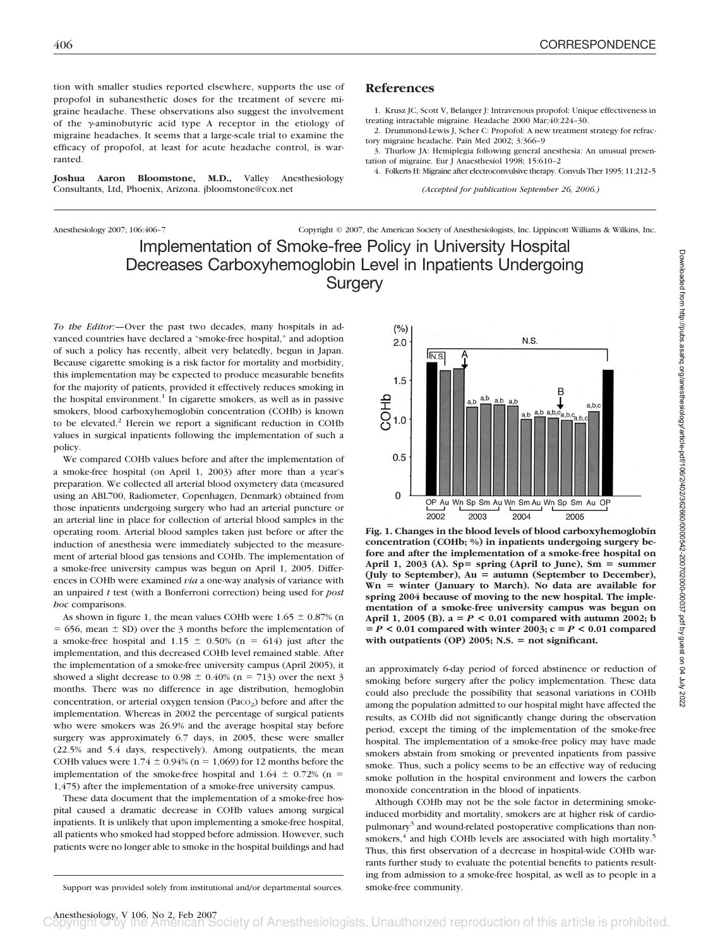tion with smaller studies reported elsewhere, supports the use of propofol in subanesthetic doses for the treatment of severe migraine headache. These observations also suggest the involvement of the  $\gamma$ -aminobutyric acid type A receptor in the etiology of migraine headaches. It seems that a large-scale trial to examine the efficacy of propofol, at least for acute headache control, is warranted.

**Joshua Aaron Bloomstone, M.D.,** Valley Anesthesiology Consultants, Ltd, Phoenix, Arizona. jbloomstone@cox.net

#### **References**

1. Krusz JC, Scott V, Belanger J: Intravenous propofol: Unique effectiveness in treating intractable migraine. Headache 2000 Mar;40:224–30.

- 2. Drummond-Lewis J, Scher C: Propofol: A new treatment strategy for refractory migraine headache. Pain Med 2002; 3:366–9
- 3. Thurlow JA: Hemiplegia following general anesthesia: An unusual presentation of migraine. Eur J Anaesthesiol 1998; 15:610–2
- 4. Folkerts H: Migraine after electroconvulsive therapy. Convuls Ther 1995; 11:212–5

*(Accepted for publication September 26, 2006.)*

# Anesthesiology 2007; 106:406–7 Copyright © 2007, the American Society of Anesthesiologists, Inc. Lippincott Williams & Wilkins, Inc. Implementation of Smoke-free Policy in University Hospital Decreases Carboxyhemoglobin Level in Inpatients Undergoing **Surgery**

*To the Editor:—*Over the past two decades, many hospitals in advanced countries have declared a "smoke-free hospital," and adoption of such a policy has recently, albeit very belatedly, begun in Japan. Because cigarette smoking is a risk factor for mortality and morbidity, this implementation may be expected to produce measurable benefits for the majority of patients, provided it effectively reduces smoking in the hospital environment.<sup>1</sup> In cigarette smokers, as well as in passive smokers, blood carboxyhemoglobin concentration (COHb) is known to be elevated.2 Herein we report a significant reduction in COHb values in surgical inpatients following the implementation of such a policy.

We compared COHb values before and after the implementation of a smoke-free hospital (on April 1, 2003) after more than a year's preparation. We collected all arterial blood oxymetery data (measured using an ABL700, Radiometer, Copenhagen, Denmark) obtained from those inpatients undergoing surgery who had an arterial puncture or an arterial line in place for collection of arterial blood samples in the operating room. Arterial blood samples taken just before or after the induction of anesthesia were immediately subjected to the measurement of arterial blood gas tensions and COHb. The implementation of a smoke-free university campus was begun on April 1, 2005. Differences in COHb were examined *via* a one-way analysis of variance with an unpaired *t* test (with a Bonferroni correction) being used for *post hoc* comparisons.

As shown in figure 1, the mean values COHb were  $1.65 \pm 0.87\%$  (n  $= 656$ , mean  $\pm$  SD) over the 3 months before the implementation of a smoke-free hospital and  $1.15 \pm 0.50\%$  (n = 614) just after the implementation, and this decreased COHb level remained stable. After the implementation of a smoke-free university campus (April 2005), it showed a slight decrease to  $0.98 \pm 0.40\%$  (n = 713) over the next 3 months. There was no difference in age distribution, hemoglobin concentration, or arterial oxygen tension (Paco<sub>2</sub>) before and after the implementation. Whereas in 2002 the percentage of surgical patients who were smokers was 26.9% and the average hospital stay before surgery was approximately 6.7 days, in 2005, these were smaller (22.5% and 5.4 days, respectively). Among outpatients, the mean COHb values were  $1.74 \pm 0.94\%$  (n = 1,069) for 12 months before the implementation of the smoke-free hospital and  $1.64 \pm 0.72\%$  (n = 1,475) after the implementation of a smoke-free university campus.

These data document that the implementation of a smoke-free hospital caused a dramatic decrease in COHb values among surgical inpatients. It is unlikely that upon implementing a smoke-free hospital, all patients who smoked had stopped before admission. However, such patients were no longer able to smoke in the hospital buildings and had Downloaded from http://pubs.asahq.org/anteshesiology/article-pdf/106/2/402/362660/0000542-200702000037.pdf by guest on 04 July 2022 Downloaded from http://pubs.asahq.org/anesthesiology/article-pdf/106/2/402/362660/0000542-200702000-00037.pdf by guest on 04 July 2022



**Fig. 1. Changes in the blood levels of blood carboxyhemoglobin concentration (COHb; %) in inpatients undergoing surgery before and after the implementation of a smoke-free hospital on** April 1, 2003 (A). Sp= spring (April to June), Sm = summer **(July to September), Au autumn (September to December), Wn winter (January to March). No data are available for spring 2004 because of moving to the new hospital. The implementation of a smoke-free university campus was begun on** April 1, 2005 (B).  $a = P < 0.01$  compared with autumn 2002; b  $P < 0.01$  compared with winter 2003;  $C = P < 0.01$  compared with outpatients (OP)  $2005$ ; N.S. = not significant.

an approximately 6-day period of forced abstinence or reduction of smoking before surgery after the policy implementation. These data could also preclude the possibility that seasonal variations in COHb among the population admitted to our hospital might have affected the results, as COHb did not significantly change during the observation period, except the timing of the implementation of the smoke-free hospital. The implementation of a smoke-free policy may have made smokers abstain from smoking or prevented inpatients from passive smoke. Thus, such a policy seems to be an effective way of reducing smoke pollution in the hospital environment and lowers the carbon monoxide concentration in the blood of inpatients.

Although COHb may not be the sole factor in determining smokeinduced morbidity and mortality, smokers are at higher risk of cardiopulmonary<sup>3</sup> and wound-related postoperative complications than nonsmokers,<sup>4</sup> and high COHb levels are associated with high mortality.<sup>5</sup> Thus, this first observation of a decrease in hospital-wide COHb warrants further study to evaluate the potential benefits to patients resulting from admission to a smoke-free hospital, as well as to people in a

Support was provided solely from institutional and/or departmental sources. smoke-free community.